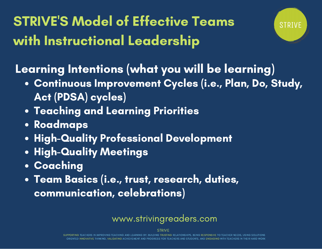STRIVE'S Model of Effective Teams with Instructional Leadership



Learning Intentions (what you will be learning)

- Continuous Improvement Cycles (i.e., Plan, Do, Study, Act (PDSA) cycles)
- Teaching and Learning Priorities
- Roadmaps
- **High-Quality Professional Development**
- **High-Quality Meetings**
- Coaching
- Team Basics (i.e., trust, research, duties, communication, celebrations)

## www.strivingreaders.com

STRIVE

SUPPORTING TEACHERS IN IMPROVING TEACHING AND LEARNING BY; BUILDING TRUSTING RELATIONSHIPS, BEING RESPONSIVE TO TEACHER NEEDS, USING SOLUTIONS ORIENTED INNOVATIVE THINKING, VALIDATING ACHIEVEMENT AND PROGRESS FOR TEACHERS AND STUDENTS, AND ENGAGING WITH TEACHERS IN THEIR HARD WORK